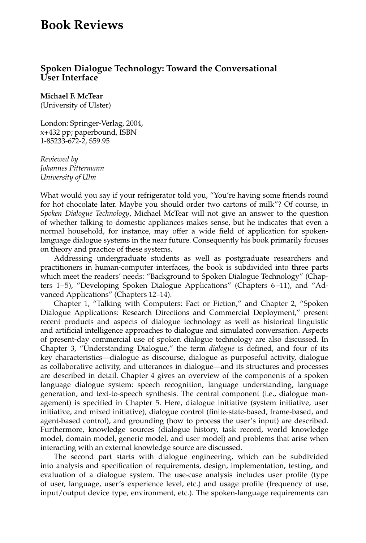## **Book Reviews**

## **Spoken Dialogue Technology: Toward the Conversational User Interface**

**Michael F. McTear**

(University of Ulster)

London: Springer-Verlag, 2004, x+432 pp; paperbound, ISBN 1-85233-672-2, \$59.95

*Reviewed by Johannes Pittermann University of Ulm*

What would you say if your refrigerator told you, "You're having some friends round for hot chocolate later. Maybe you should order two cartons of milk"? Of course, in *Spoken Dialogue Technology*, Michael McTear will not give an answer to the question of whether talking to domestic appliances makes sense, but he indicates that even a normal household, for instance, may offer a wide field of application for spokenlanguage dialogue systems in the near future. Consequently his book primarily focuses on theory and practice of these systems.

Addressing undergraduate students as well as postgraduate researchers and practitioners in human-computer interfaces, the book is subdivided into three parts which meet the readers' needs: "Background to Spoken Dialogue Technology" (Chapters 1– 5), "Developing Spoken Dialogue Applications" (Chapters 6 –11), and "Advanced Applications" (Chapters 12–14).

Chapter 1, "Talking with Computers: Fact or Fiction," and Chapter 2, "Spoken Dialogue Applications: Research Directions and Commercial Deployment," present recent products and aspects of dialogue technology as well as historical linguistic and artificial intelligence approaches to dialogue and simulated conversation. Aspects of present-day commercial use of spoken dialogue technology are also discussed. In Chapter 3, "Understanding Dialogue," the term *dialogue* is defined, and four of its key characteristics—dialogue as discourse, dialogue as purposeful activity, dialogue as collaborative activity, and utterances in dialogue—and its structures and processes are described in detail. Chapter 4 gives an overview of the components of a spoken language dialogue system: speech recognition, language understanding, language generation, and text-to-speech synthesis. The central component (i.e., dialogue management) is specified in Chapter 5. Here, dialogue initiative (system initiative, user initiative, and mixed initiative), dialogue control (finite-state-based, frame-based, and agent-based control), and grounding (how to process the user's input) are described. Furthermore, knowledge sources (dialogue history, task record, world knowledge model, domain model, generic model, and user model) and problems that arise when interacting with an external knowledge source are discussed.

The second part starts with dialogue engineering, which can be subdivided into analysis and specification of requirements, design, implementation, testing, and evaluation of a dialogue system. The use-case analysis includes user profile (type of user, language, user's experience level, etc.) and usage profile (frequency of use, input/output device type, environment, etc.). The spoken-language requirements can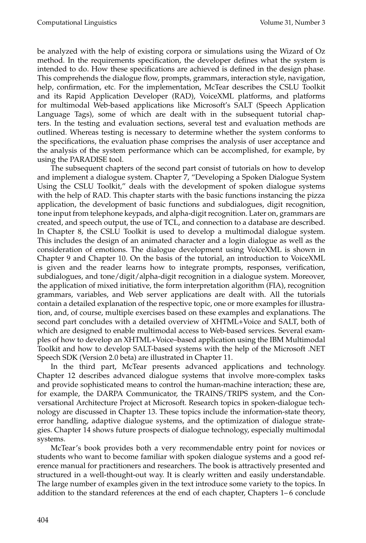be analyzed with the help of existing corpora or simulations using the Wizard of Oz method. In the requirements specification, the developer defines what the system is intended to do. How these specifications are achieved is defined in the design phase. This comprehends the dialogue flow, prompts, grammars, interaction style, navigation, help, confirmation, etc. For the implementation, McTear describes the CSLU Toolkit and its Rapid Application Developer (RAD), VoiceXML platforms, and platforms for multimodal Web-based applications like Microsoft's SALT (Speech Application Language Tags), some of which are dealt with in the subsequent tutorial chapters. In the testing and evaluation sections, several test and evaluation methods are outlined. Whereas testing is necessary to determine whether the system conforms to the specifications, the evaluation phase comprises the analysis of user acceptance and the analysis of the system performance which can be accomplished, for example, by using the PARADISE tool.

The subsequent chapters of the second part consist of tutorials on how to develop and implement a dialogue system. Chapter 7, "Developing a Spoken Dialogue System Using the CSLU Toolkit," deals with the development of spoken dialogue systems with the help of RAD. This chapter starts with the basic functions instancing the pizza application, the development of basic functions and subdialogues, digit recognition, tone input from telephone keypads, and alpha-digit recognition. Later on, grammars are created, and speech output, the use of TCL, and connection to a database are described. In Chapter 8, the CSLU Toolkit is used to develop a multimodal dialogue system. This includes the design of an animated character and a login dialogue as well as the consideration of emotions. The dialogue development using VoiceXML is shown in Chapter 9 and Chapter 10. On the basis of the tutorial, an introduction to VoiceXML is given and the reader learns how to integrate prompts, responses, verification, subdialogues, and tone/digit/alpha-digit recognition in a dialogue system. Moreover, the application of mixed initiative, the form interpretation algorithm (FIA), recognition grammars, variables, and Web server applications are dealt with. All the tutorials contain a detailed explanation of the respective topic, one or more examples for illustration, and, of course, multiple exercises based on these examples and explanations. The second part concludes with a detailed overview of XHTML+Voice and SALT, both of which are designed to enable multimodal access to Web-based services. Several examples of how to develop an XHTML+Voice–based application using the IBM Multimodal Toolkit and how to develop SALT-based systems with the help of the Microsoft .NET Speech SDK (Version 2.0 beta) are illustrated in Chapter 11.

In the third part, McTear presents advanced applications and technology. Chapter 12 describes advanced dialogue systems that involve more-complex tasks and provide sophisticated means to control the human-machine interaction; these are, for example, the DARPA Communicator, the TRAINS/TRIPS system, and the Conversational Architecture Project at Microsoft. Research topics in spoken-dialogue technology are discussed in Chapter 13. These topics include the information-state theory, error handling, adaptive dialogue systems, and the optimization of dialogue strategies. Chapter 14 shows future prospects of dialogue technology, especially multimodal systems.

McTear's book provides both a very recommendable entry point for novices or students who want to become familiar with spoken dialogue systems and a good reference manual for practitioners and researchers. The book is attractively presented and structured in a well-thought-out way. It is clearly written and easily understandable. The large number of examples given in the text introduce some variety to the topics. In addition to the standard references at the end of each chapter, Chapters 1– 6 conclude